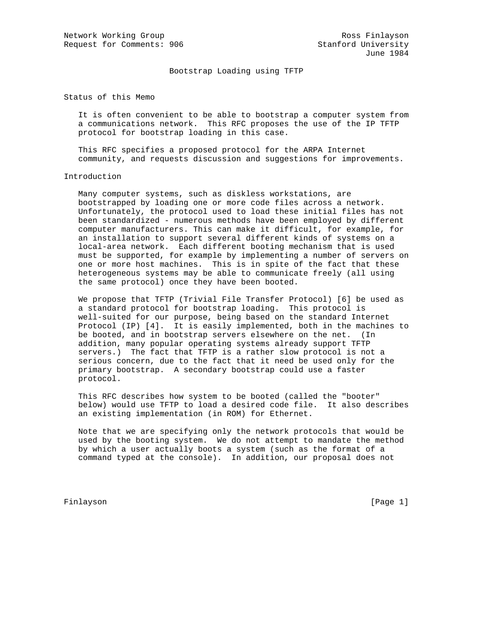Bootstrap Loading using TFTP

Status of this Memo

 It is often convenient to be able to bootstrap a computer system from a communications network. This RFC proposes the use of the IP TFTP protocol for bootstrap loading in this case.

 This RFC specifies a proposed protocol for the ARPA Internet community, and requests discussion and suggestions for improvements.

## Introduction

 Many computer systems, such as diskless workstations, are bootstrapped by loading one or more code files across a network. Unfortunately, the protocol used to load these initial files has not been standardized - numerous methods have been employed by different computer manufacturers. This can make it difficult, for example, for an installation to support several different kinds of systems on a local-area network. Each different booting mechanism that is used must be supported, for example by implementing a number of servers on one or more host machines. This is in spite of the fact that these heterogeneous systems may be able to communicate freely (all using the same protocol) once they have been booted.

 We propose that TFTP (Trivial File Transfer Protocol) [6] be used as a standard protocol for bootstrap loading. This protocol is well-suited for our purpose, being based on the standard Internet Protocol (IP) [4]. It is easily implemented, both in the machines to be booted, and in bootstrap servers elsewhere on the net. (In addition, many popular operating systems already support TFTP servers.) The fact that TFTP is a rather slow protocol is not a serious concern, due to the fact that it need be used only for the primary bootstrap. A secondary bootstrap could use a faster protocol.

 This RFC describes how system to be booted (called the "booter" below) would use TFTP to load a desired code file. It also describes an existing implementation (in ROM) for Ethernet.

 Note that we are specifying only the network protocols that would be used by the booting system. We do not attempt to mandate the method by which a user actually boots a system (such as the format of a command typed at the console). In addition, our proposal does not

Finlayson [Page 1]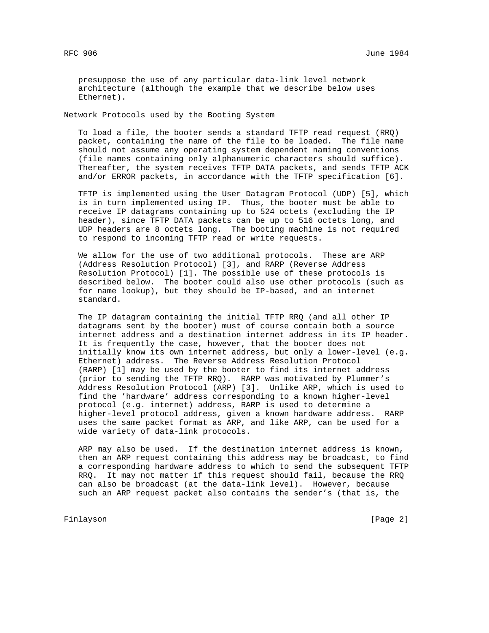presuppose the use of any particular data-link level network architecture (although the example that we describe below uses Ethernet).

Network Protocols used by the Booting System

 To load a file, the booter sends a standard TFTP read request (RRQ) packet, containing the name of the file to be loaded. The file name should not assume any operating system dependent naming conventions (file names containing only alphanumeric characters should suffice). Thereafter, the system receives TFTP DATA packets, and sends TFTP ACK and/or ERROR packets, in accordance with the TFTP specification [6].

 TFTP is implemented using the User Datagram Protocol (UDP) [5], which is in turn implemented using IP. Thus, the booter must be able to receive IP datagrams containing up to 524 octets (excluding the IP header), since TFTP DATA packets can be up to 516 octets long, and UDP headers are 8 octets long. The booting machine is not required to respond to incoming TFTP read or write requests.

 We allow for the use of two additional protocols. These are ARP (Address Resolution Protocol) [3], and RARP (Reverse Address Resolution Protocol) [1]. The possible use of these protocols is described below. The booter could also use other protocols (such as for name lookup), but they should be IP-based, and an internet standard.

 The IP datagram containing the initial TFTP RRQ (and all other IP datagrams sent by the booter) must of course contain both a source internet address and a destination internet address in its IP header. It is frequently the case, however, that the booter does not initially know its own internet address, but only a lower-level (e.g. Ethernet) address. The Reverse Address Resolution Protocol (RARP) [1] may be used by the booter to find its internet address (prior to sending the TFTP RRQ). RARP was motivated by Plummer's Address Resolution Protocol (ARP) [3]. Unlike ARP, which is used to find the 'hardware' address corresponding to a known higher-level protocol (e.g. internet) address, RARP is used to determine a higher-level protocol address, given a known hardware address. RARP uses the same packet format as ARP, and like ARP, can be used for a wide variety of data-link protocols.

 ARP may also be used. If the destination internet address is known, then an ARP request containing this address may be broadcast, to find a corresponding hardware address to which to send the subsequent TFTP RRQ. It may not matter if this request should fail, because the RRQ can also be broadcast (at the data-link level). However, because such an ARP request packet also contains the sender's (that is, the

Finlayson [Page 2]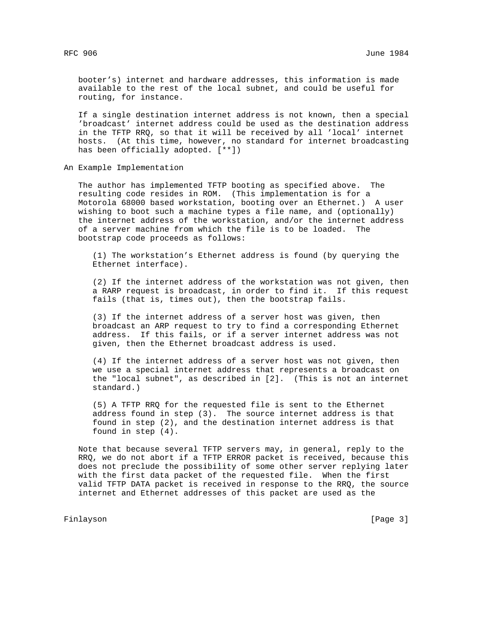booter's) internet and hardware addresses, this information is made available to the rest of the local subnet, and could be useful for routing, for instance.

 If a single destination internet address is not known, then a special 'broadcast' internet address could be used as the destination address in the TFTP RRQ, so that it will be received by all 'local' internet hosts. (At this time, however, no standard for internet broadcasting has been officially adopted. [\*\*])

An Example Implementation

 The author has implemented TFTP booting as specified above. The resulting code resides in ROM. (This implementation is for a Motorola 68000 based workstation, booting over an Ethernet.) A user wishing to boot such a machine types a file name, and (optionally) the internet address of the workstation, and/or the internet address of a server machine from which the file is to be loaded. The bootstrap code proceeds as follows:

 (1) The workstation's Ethernet address is found (by querying the Ethernet interface).

 (2) If the internet address of the workstation was not given, then a RARP request is broadcast, in order to find it. If this request fails (that is, times out), then the bootstrap fails.

 (3) If the internet address of a server host was given, then broadcast an ARP request to try to find a corresponding Ethernet address. If this fails, or if a server internet address was not given, then the Ethernet broadcast address is used.

 (4) If the internet address of a server host was not given, then we use a special internet address that represents a broadcast on the "local subnet", as described in [2]. (This is not an internet standard.)

 (5) A TFTP RRQ for the requested file is sent to the Ethernet address found in step (3). The source internet address is that found in step (2), and the destination internet address is that found in step (4).

 Note that because several TFTP servers may, in general, reply to the RRQ, we do not abort if a TFTP ERROR packet is received, because this does not preclude the possibility of some other server replying later with the first data packet of the requested file. When the first valid TFTP DATA packet is received in response to the RRQ, the source internet and Ethernet addresses of this packet are used as the

Finlayson [Page 3]